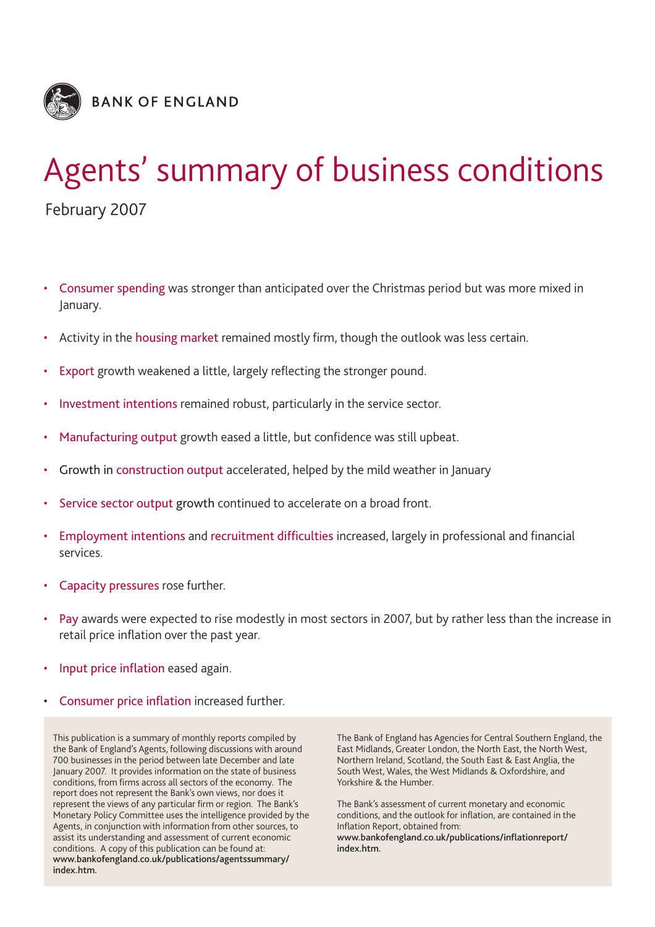

# Agents' summary of business conditions February 2007

- Consumer spending was stronger than anticipated over the Christmas period but was more mixed in January.
- Activity in the housing market remained mostly firm, though the outlook was less certain.
- Export growth weakened a little, largely reflecting the stronger pound.
- Investment intentions remained robust, particularly in the service sector.
- Manufacturing output growth eased a little, but confidence was still upbeat.
- Growth in construction output accelerated, helped by the mild weather in January
- Service sector output growth continued to accelerate on a broad front.
- Employment intentions and recruitment difficulties increased, largely in professional and financial services.
- Capacity pressures rose further.
- Pay awards were expected to rise modestly in most sectors in 2007, but by rather less than the increase in retail price inflation over the past year.
- Input price inflation eased again.
- Consumer price inflation increased further.

This publication is a summary of monthly reports compiled by the Bank of England's Agents, following discussions with around 700 businesses in the period between late December and late January 2007. It provides information on the state of business conditions, from firms across all sectors of the economy. The report does not represent the Bank's own views, nor does it represent the views of any particular firm or region. The Bank's Monetary Policy Committee uses the intelligence provided by the Agents, in conjunction with information from other sources, to assist its understanding and assessment of current economic conditions. A copy of this publication can be found at: **www.bankofengland.co.uk/publications/agentssummary/ index.htm.**

The Bank of England has Agencies for Central Southern England, the East Midlands, Greater London, the North East, the North West, Northern Ireland, Scotland, the South East & East Anglia, the South West, Wales, the West Midlands & Oxfordshire, and Yorkshire & the Humber.

The Bank's assessment of current monetary and economic conditions, and the outlook for inflation, are contained in the Inflation Report, obtained from: **www.bankofengland.co.uk/publications/inflationreport/ index.htm.**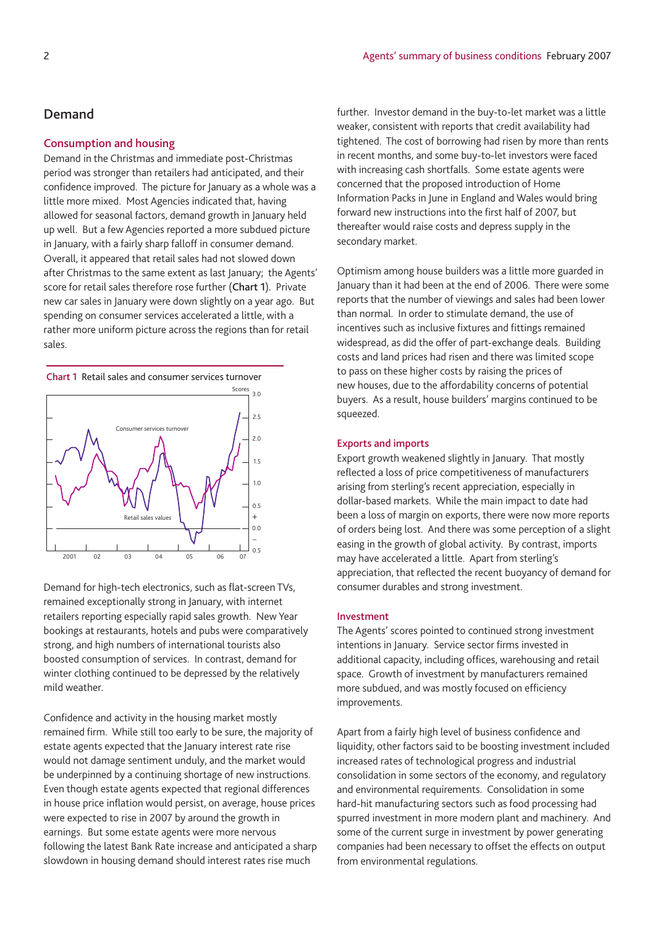# **Demand**

## **Consumption and housing**

Demand in the Christmas and immediate post-Christmas period was stronger than retailers had anticipated, and their confidence improved. The picture for January as a whole was a little more mixed. Most Agencies indicated that, having allowed for seasonal factors, demand growth in January held up well. But a few Agencies reported a more subdued picture in January, with a fairly sharp falloff in consumer demand. Overall, it appeared that retail sales had not slowed down after Christmas to the same extent as last January; the Agents' score for retail sales therefore rose further (**Chart 1**). Private new car sales in January were down slightly on a year ago. But spending on consumer services accelerated a little, with a rather more uniform picture across the regions than for retail sales.



Demand for high-tech electronics, such as flat-screen TVs, remained exceptionally strong in January, with internet retailers reporting especially rapid sales growth. New Year bookings at restaurants, hotels and pubs were comparatively strong, and high numbers of international tourists also boosted consumption of services. In contrast, demand for winter clothing continued to be depressed by the relatively mild weather.

Confidence and activity in the housing market mostly remained firm. While still too early to be sure, the majority of estate agents expected that the January interest rate rise would not damage sentiment unduly, and the market would be underpinned by a continuing shortage of new instructions. Even though estate agents expected that regional differences in house price inflation would persist, on average, house prices were expected to rise in 2007 by around the growth in earnings. But some estate agents were more nervous following the latest Bank Rate increase and anticipated a sharp slowdown in housing demand should interest rates rise much

further. Investor demand in the buy-to-let market was a little weaker, consistent with reports that credit availability had tightened. The cost of borrowing had risen by more than rents in recent months, and some buy-to-let investors were faced with increasing cash shortfalls. Some estate agents were concerned that the proposed introduction of Home Information Packs in June in England and Wales would bring forward new instructions into the first half of 2007, but thereafter would raise costs and depress supply in the secondary market.

Optimism among house builders was a little more guarded in January than it had been at the end of 2006. There were some reports that the number of viewings and sales had been lower than normal. In order to stimulate demand, the use of incentives such as inclusive fixtures and fittings remained widespread, as did the offer of part-exchange deals. Building costs and land prices had risen and there was limited scope to pass on these higher costs by raising the prices of new houses, due to the affordability concerns of potential buyers. As a result, house builders' margins continued to be squeezed.

## **Exports and imports**

Export growth weakened slightly in January. That mostly reflected a loss of price competitiveness of manufacturers arising from sterling's recent appreciation, especially in dollar-based markets. While the main impact to date had been a loss of margin on exports, there were now more reports of orders being lost. And there was some perception of a slight easing in the growth of global activity. By contrast, imports may have accelerated a little. Apart from sterling's appreciation, that reflected the recent buoyancy of demand for consumer durables and strong investment.

## **Investment**

The Agents' scores pointed to continued strong investment intentions in January. Service sector firms invested in additional capacity, including offices, warehousing and retail space. Growth of investment by manufacturers remained more subdued, and was mostly focused on efficiency improvements.

Apart from a fairly high level of business confidence and liquidity, other factors said to be boosting investment included increased rates of technological progress and industrial consolidation in some sectors of the economy, and regulatory and environmental requirements. Consolidation in some hard-hit manufacturing sectors such as food processing had spurred investment in more modern plant and machinery. And some of the current surge in investment by power generating companies had been necessary to offset the effects on output from environmental regulations.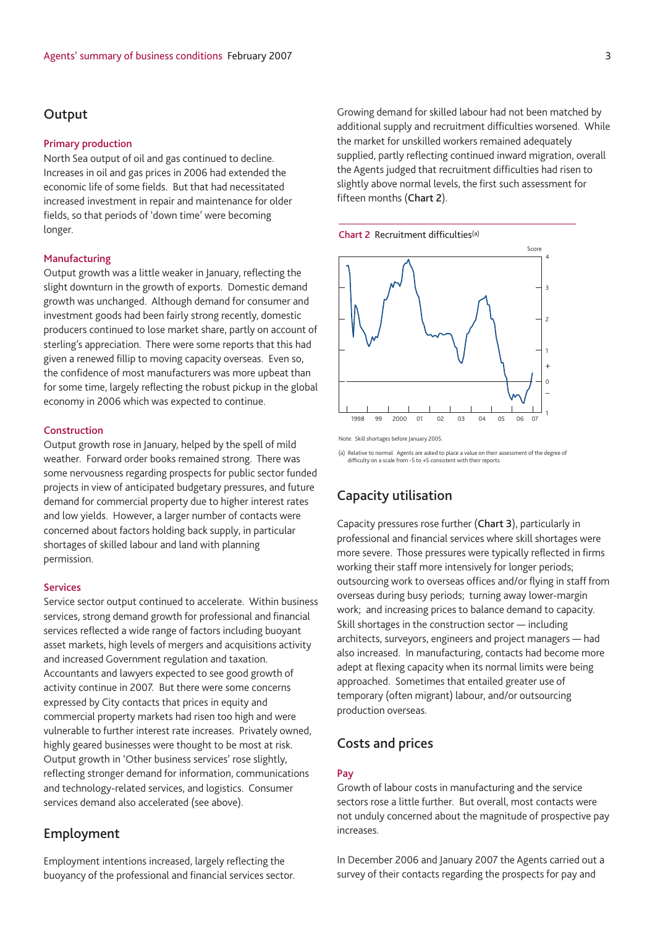## **Output**

#### **Primary production**

North Sea output of oil and gas continued to decline. Increases in oil and gas prices in 2006 had extended the economic life of some fields. But that had necessitated increased investment in repair and maintenance for older fields, so that periods of 'down time' were becoming longer.

#### **Manufacturing**

Output growth was a little weaker in January, reflecting the slight downturn in the growth of exports. Domestic demand growth was unchanged. Although demand for consumer and investment goods had been fairly strong recently, domestic producers continued to lose market share, partly on account of sterling's appreciation. There were some reports that this had given a renewed fillip to moving capacity overseas. Even so, the confidence of most manufacturers was more upbeat than for some time, largely reflecting the robust pickup in the global economy in 2006 which was expected to continue.

## **Construction**

Output growth rose in January, helped by the spell of mild weather. Forward order books remained strong. There was some nervousness regarding prospects for public sector funded projects in view of anticipated budgetary pressures, and future demand for commercial property due to higher interest rates and low yields. However, a larger number of contacts were concerned about factors holding back supply, in particular shortages of skilled labour and land with planning permission.

#### **Services**

Service sector output continued to accelerate. Within business services, strong demand growth for professional and financial services reflected a wide range of factors including buoyant asset markets, high levels of mergers and acquisitions activity and increased Government regulation and taxation. Accountants and lawyers expected to see good growth of activity continue in 2007. But there were some concerns expressed by City contacts that prices in equity and commercial property markets had risen too high and were vulnerable to further interest rate increases. Privately owned, highly geared businesses were thought to be most at risk. Output growth in 'Other business services' rose slightly, reflecting stronger demand for information, communications and technology-related services, and logistics. Consumer services demand also accelerated (see above).

## **Employment**

Employment intentions increased, largely reflecting the buoyancy of the professional and financial services sector. Growing demand for skilled labour had not been matched by additional supply and recruitment difficulties worsened. While the market for unskilled workers remained adequately supplied, partly reflecting continued inward migration, overall the Agents judged that recruitment difficulties had risen to slightly above normal levels, the first such assessment for fifteen months (**Chart 2**).





Note: Skill shortages before January 2005.

(a) Relative to normal. Agents are asked to place a value on their assessment of the degree of difficulty on a scale from -5 to +5 consistent with their reports.

# **Capacity utilisation**

Capacity pressures rose further (**Chart 3**), particularly in professional and financial services where skill shortages were more severe. Those pressures were typically reflected in firms working their staff more intensively for longer periods; outsourcing work to overseas offices and/or flying in staff from overseas during busy periods; turning away lower-margin work; and increasing prices to balance demand to capacity. Skill shortages in the construction sector — including architects, surveyors, engineers and project managers — had also increased. In manufacturing, contacts had become more adept at flexing capacity when its normal limits were being approached. Sometimes that entailed greater use of temporary (often migrant) labour, and/or outsourcing production overseas.

# **Costs and prices**

### **Pay**

Growth of labour costs in manufacturing and the service sectors rose a little further. But overall, most contacts were not unduly concerned about the magnitude of prospective pay increases.

In December 2006 and January 2007 the Agents carried out a survey of their contacts regarding the prospects for pay and